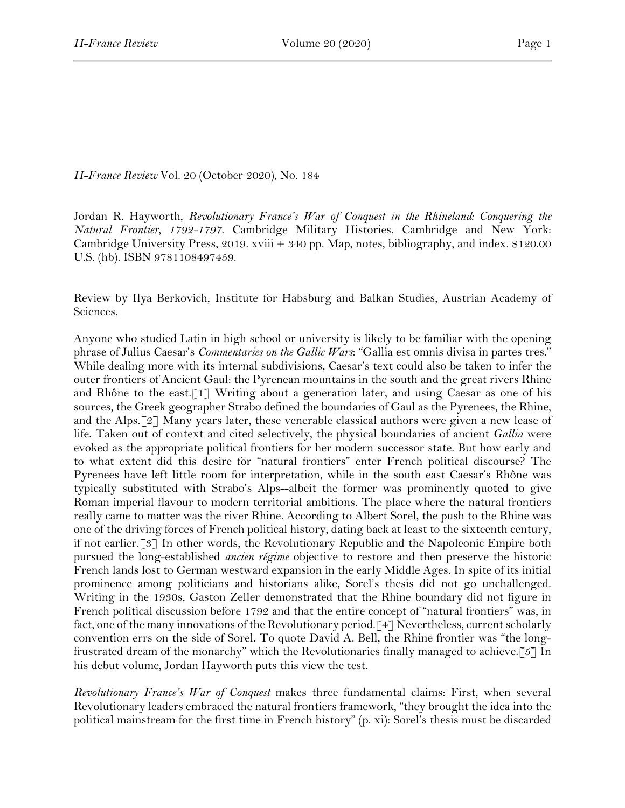*H-France Review* Vol. 20 (October 2020), No. 184

Jordan R. Hayworth, *Revolutionary France's War of Conquest in the Rhineland: Conquering the Natural Frontier, 1792-1797*. Cambridge Military Histories. Cambridge and New York: Cambridge University Press, 2019. xviii + 340 pp. Map, notes, bibliography, and index. \$120.00 U.S. (hb). ISBN 9781108497459.

Review by Ilya Berkovich, Institute for Habsburg and Balkan Studies, Austrian Academy of Sciences.

Anyone who studied Latin in high school or university is likely to be familiar with the opening phrase of Julius Caesar's *Commentaries on the Gallic Wars*: "Gallia est omnis divisa in partes tres." While dealing more with its internal subdivisions, Caesar's text could also be taken to infer the outer frontiers of Ancient Gaul: the Pyrenean mountains in the south and the great rivers Rhine and Rhône to the east.<sup>[1]</sup> Writing about a generation later, and using Caesar as one of his sources, the Greek geographer Strabo defined the boundaries of Gaul as the Pyrenees, the Rhine, and the Alps.[2] Many years later, these venerable classical authors were given a new lease of life. Taken out of context and cited selectively, the physical boundaries of ancient *Gallia* were evoked as the appropriate political frontiers for her modern successor state. But how early and to what extent did this desire for "natural frontiers" enter French political discourse? The Pyrenees have left little room for interpretation, while in the south east Caesar's Rhône was typically substituted with Strabo's Alps--albeit the former was prominently quoted to give Roman imperial flavour to modern territorial ambitions. The place where the natural frontiers really came to matter was the river Rhine. According to Albert Sorel, the push to the Rhine was one of the driving forces of French political history, dating back at least to the sixteenth century, if not earlier.[3] In other words, the Revolutionary Republic and the Napoleonic Empire both pursued the long-established *ancien régime* objective to restore and then preserve the historic French lands lost to German westward expansion in the early Middle Ages. In spite of its initial prominence among politicians and historians alike, Sorel's thesis did not go unchallenged. Writing in the 1930s, Gaston Zeller demonstrated that the Rhine boundary did not figure in French political discussion before 1792 and that the entire concept of "natural frontiers" was, in fact, one of the many innovations of the Revolutionary period.[4] Nevertheless, current scholarly convention errs on the side of Sorel. To quote David A. Bell, the Rhine frontier was "the longfrustrated dream of the monarchy" which the Revolutionaries finally managed to achieve.[5] In his debut volume, Jordan Hayworth puts this view the test.

*Revolutionary France's War of Conquest* makes three fundamental claims: First, when several Revolutionary leaders embraced the natural frontiers framework, "they brought the idea into the political mainstream for the first time in French history" (p. xi): Sorel's thesis must be discarded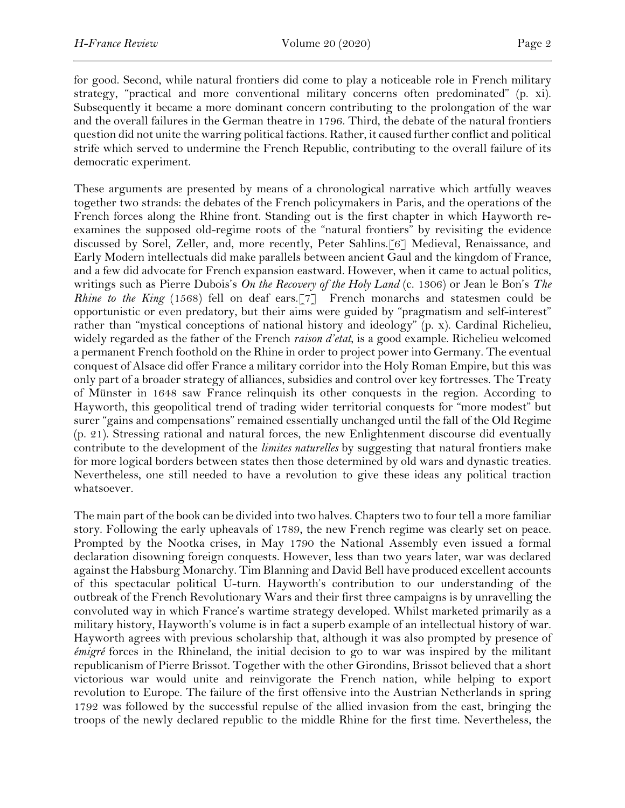for good. Second, while natural frontiers did come to play a noticeable role in French military strategy, "practical and more conventional military concerns often predominated" (p. xi). Subsequently it became a more dominant concern contributing to the prolongation of the war and the overall failures in the German theatre in 1796. Third, the debate of the natural frontiers question did not unite the warring political factions. Rather, it caused further conflict and political strife which served to undermine the French Republic, contributing to the overall failure of its democratic experiment.

These arguments are presented by means of a chronological narrative which artfully weaves together two strands: the debates of the French policymakers in Paris, and the operations of the French forces along the Rhine front. Standing out is the first chapter in which Hayworth reexamines the supposed old-regime roots of the "natural frontiers" by revisiting the evidence discussed by Sorel, Zeller, and, more recently, Peter Sahlins.[6] Medieval, Renaissance, and Early Modern intellectuals did make parallels between ancient Gaul and the kingdom of France, and a few did advocate for French expansion eastward. However, when it came to actual politics, writings such as Pierre Dubois's *On the Recovery of the Holy Land* (c. 1306) or Jean le Bon's *The Rhine to the King* (1568) fell on deaf ears.<sup>[7]</sup> French monarchs and statesmen could be opportunistic or even predatory, but their aims were guided by "pragmatism and self-interest" rather than "mystical conceptions of national history and ideology" (p. x). Cardinal Richelieu, widely regarded as the father of the French *raison d'etat*, is a good example. Richelieu welcomed a permanent French foothold on the Rhine in order to project power into Germany. The eventual conquest of Alsace did offer France a military corridor into the Holy Roman Empire, but this was only part of a broader strategy of alliances, subsidies and control over key fortresses. The Treaty of Münster in 1648 saw France relinquish its other conquests in the region. According to Hayworth, this geopolitical trend of trading wider territorial conquests for "more modest" but surer "gains and compensations" remained essentially unchanged until the fall of the Old Regime (p. 21). Stressing rational and natural forces, the new Enlightenment discourse did eventually contribute to the development of the *limites naturelles* by suggesting that natural frontiers make for more logical borders between states then those determined by old wars and dynastic treaties. Nevertheless, one still needed to have a revolution to give these ideas any political traction whatsoever.

The main part of the book can be divided into two halves. Chapters two to four tell a more familiar story. Following the early upheavals of 1789, the new French regime was clearly set on peace. Prompted by the Nootka crises, in May 1790 the National Assembly even issued a formal declaration disowning foreign conquests. However, less than two years later, war was declared against the Habsburg Monarchy. Tim Blanning and David Bell have produced excellent accounts of this spectacular political U-turn. Hayworth's contribution to our understanding of the outbreak of the French Revolutionary Wars and their first three campaigns is by unravelling the convoluted way in which France's wartime strategy developed. Whilst marketed primarily as a military history, Hayworth's volume is in fact a superb example of an intellectual history of war. Hayworth agrees with previous scholarship that, although it was also prompted by presence of *émigré* forces in the Rhineland, the initial decision to go to war was inspired by the militant republicanism of Pierre Brissot. Together with the other Girondins, Brissot believed that a short victorious war would unite and reinvigorate the French nation, while helping to export revolution to Europe. The failure of the first offensive into the Austrian Netherlands in spring 1792 was followed by the successful repulse of the allied invasion from the east, bringing the troops of the newly declared republic to the middle Rhine for the first time. Nevertheless, the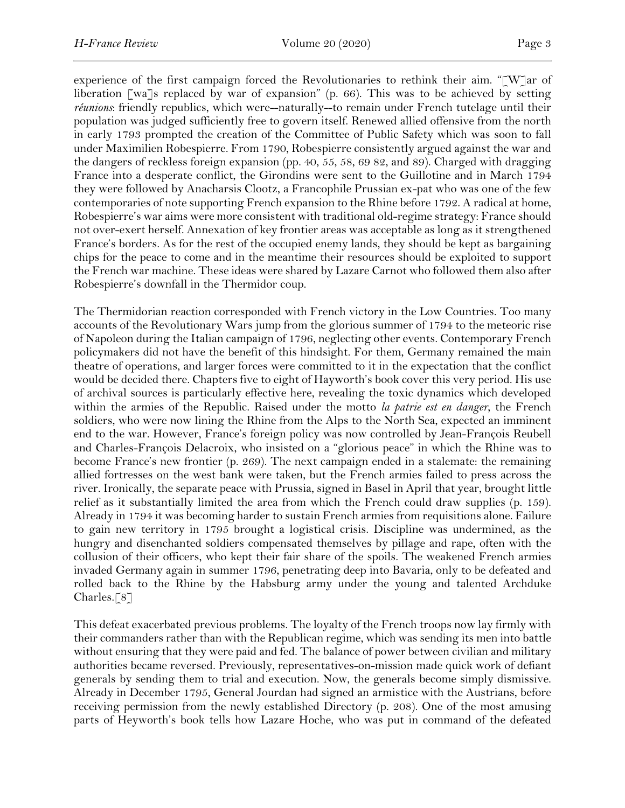experience of the first campaign forced the Revolutionaries to rethink their aim. "[W]ar of liberation [wa]s replaced by war of expansion" (p. 66). This was to be achieved by setting *réunions*: friendly republics, which were--naturally--to remain under French tutelage until their population was judged sufficiently free to govern itself. Renewed allied offensive from the north in early 1793 prompted the creation of the Committee of Public Safety which was soon to fall under Maximilien Robespierre. From 1790, Robespierre consistently argued against the war and the dangers of reckless foreign expansion (pp. 40, 55, 58, 69 82, and 89). Charged with dragging France into a desperate conflict, the Girondins were sent to the Guillotine and in March 1794 they were followed by Anacharsis Clootz, a Francophile Prussian ex-pat who was one of the few contemporaries of note supporting French expansion to the Rhine before 1792. A radical at home, Robespierre's war aims were more consistent with traditional old-regime strategy: France should not over-exert herself. Annexation of key frontier areas was acceptable as long as it strengthened France's borders. As for the rest of the occupied enemy lands, they should be kept as bargaining chips for the peace to come and in the meantime their resources should be exploited to support the French war machine. These ideas were shared by Lazare Carnot who followed them also after Robespierre's downfall in the Thermidor coup.

The Thermidorian reaction corresponded with French victory in the Low Countries. Too many accounts of the Revolutionary Wars jump from the glorious summer of 1794 to the meteoric rise of Napoleon during the Italian campaign of 1796, neglecting other events. Contemporary French policymakers did not have the benefit of this hindsight. For them, Germany remained the main theatre of operations, and larger forces were committed to it in the expectation that the conflict would be decided there. Chapters five to eight of Hayworth's book cover this very period. His use of archival sources is particularly effective here, revealing the toxic dynamics which developed within the armies of the Republic. Raised under the motto *la patrie est en danger*, the French soldiers, who were now lining the Rhine from the Alps to the North Sea, expected an imminent end to the war. However, France's foreign policy was now controlled by Jean-François Reubell and Charles-François Delacroix, who insisted on a "glorious peace" in which the Rhine was to become France's new frontier (p. 269). The next campaign ended in a stalemate: the remaining allied fortresses on the west bank were taken, but the French armies failed to press across the river. Ironically, the separate peace with Prussia, signed in Basel in April that year, brought little relief as it substantially limited the area from which the French could draw supplies (p. 159). Already in 1794 it was becoming harder to sustain French armies from requisitions alone. Failure to gain new territory in 1795 brought a logistical crisis. Discipline was undermined, as the hungry and disenchanted soldiers compensated themselves by pillage and rape, often with the collusion of their officers, who kept their fair share of the spoils. The weakened French armies invaded Germany again in summer 1796, penetrating deep into Bavaria, only to be defeated and rolled back to the Rhine by the Habsburg army under the young and talented Archduke Charles.[8]

This defeat exacerbated previous problems. The loyalty of the French troops now lay firmly with their commanders rather than with the Republican regime, which was sending its men into battle without ensuring that they were paid and fed. The balance of power between civilian and military authorities became reversed. Previously, representatives-on-mission made quick work of defiant generals by sending them to trial and execution. Now, the generals become simply dismissive. Already in December 1795, General Jourdan had signed an armistice with the Austrians, before receiving permission from the newly established Directory (p. 208). One of the most amusing parts of Heyworth's book tells how Lazare Hoche, who was put in command of the defeated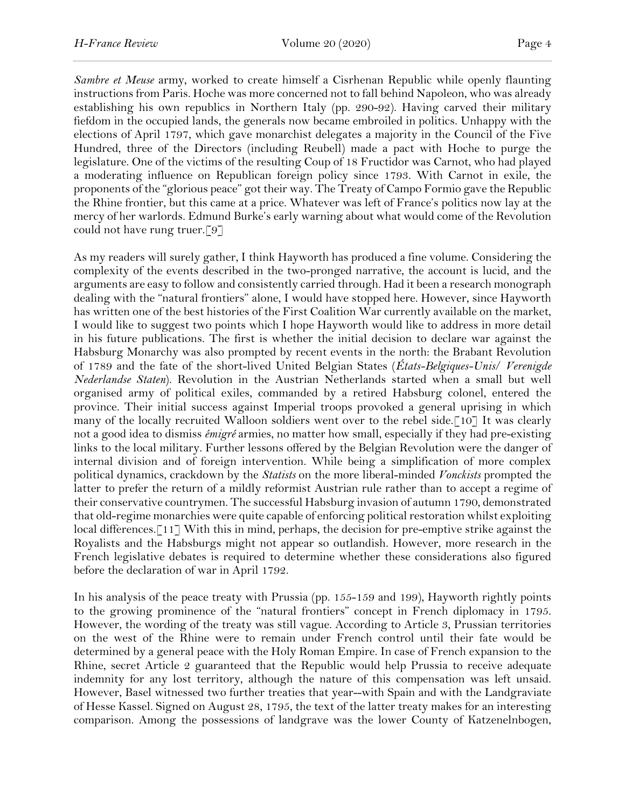*Sambre et Meuse* army, worked to create himself a Cisrhenan Republic while openly flaunting instructions from Paris. Hoche was more concerned not to fall behind Napoleon, who was already establishing his own republics in Northern Italy (pp. 290-92). Having carved their military fiefdom in the occupied lands, the generals now became embroiled in politics. Unhappy with the elections of April 1797, which gave monarchist delegates a majority in the Council of the Five Hundred, three of the Directors (including Reubell) made a pact with Hoche to purge the legislature. One of the victims of the resulting Coup of 18 Fructidor was Carnot, who had played a moderating influence on Republican foreign policy since 1793. With Carnot in exile, the proponents of the "glorious peace" got their way. The Treaty of Campo Formio gave the Republic the Rhine frontier, but this came at a price. Whatever was left of France's politics now lay at the mercy of her warlords. Edmund Burke's early warning about what would come of the Revolution could not have rung truer.[9]

As my readers will surely gather, I think Hayworth has produced a fine volume. Considering the complexity of the events described in the two-pronged narrative, the account is lucid, and the arguments are easy to follow and consistently carried through. Had it been a research monograph dealing with the "natural frontiers" alone, I would have stopped here. However, since Hayworth has written one of the best histories of the First Coalition War currently available on the market, I would like to suggest two points which I hope Hayworth would like to address in more detail in his future publications. The first is whether the initial decision to declare war against the Habsburg Monarchy was also prompted by recent events in the north: the Brabant Revolution of 1789 and the fate of the short-lived United Belgian States (*États-Belgiques-Unis*/ *Verenigde Nederlandse Staten*). Revolution in the Austrian Netherlands started when a small but well organised army of political exiles, commanded by a retired Habsburg colonel, entered the province. Their initial success against Imperial troops provoked a general uprising in which many of the locally recruited Walloon soldiers went over to the rebel side.[10] It was clearly not a good idea to dismiss *émigré* armies, no matter how small, especially if they had pre-existing links to the local military. Further lessons offered by the Belgian Revolution were the danger of internal division and of foreign intervention. While being a simplification of more complex political dynamics, crackdown by the *Statists* on the more liberal-minded *Vonckists* prompted the latter to prefer the return of a mildly reformist Austrian rule rather than to accept a regime of their conservative countrymen. The successful Habsburg invasion of autumn 1790, demonstrated that old-regime monarchies were quite capable of enforcing political restoration whilst exploiting local differences.[11] With this in mind, perhaps, the decision for pre-emptive strike against the Royalists and the Habsburgs might not appear so outlandish. However, more research in the French legislative debates is required to determine whether these considerations also figured before the declaration of war in April 1792.

In his analysis of the peace treaty with Prussia (pp. 155-159 and 199), Hayworth rightly points to the growing prominence of the "natural frontiers" concept in French diplomacy in 1795. However, the wording of the treaty was still vague. According to Article 3, Prussian territories on the west of the Rhine were to remain under French control until their fate would be determined by a general peace with the Holy Roman Empire. In case of French expansion to the Rhine, secret Article 2 guaranteed that the Republic would help Prussia to receive adequate indemnity for any lost territory, although the nature of this compensation was left unsaid. However, Basel witnessed two further treaties that year--with Spain and with the Landgraviate of Hesse Kassel. Signed on August 28, 1795, the text of the latter treaty makes for an interesting comparison. Among the possessions of landgrave was the lower County of Katzenelnbogen,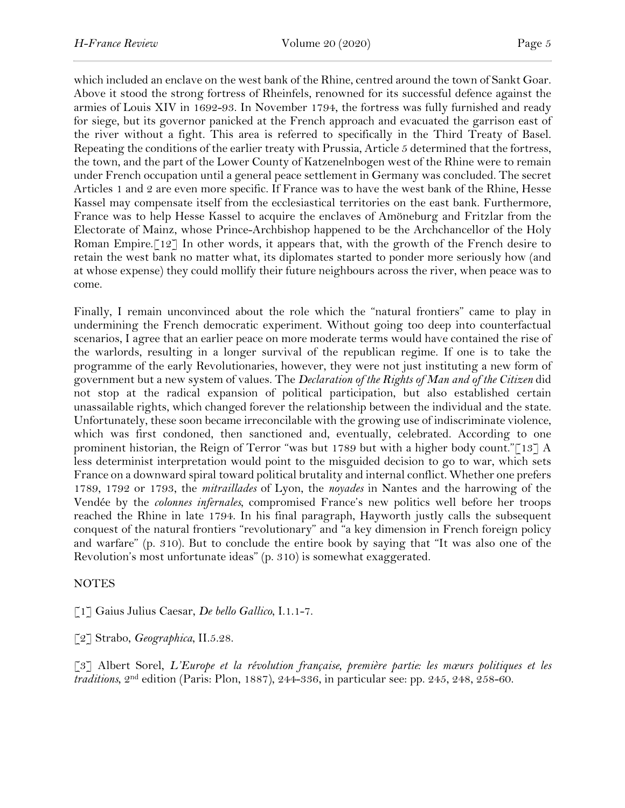which included an enclave on the west bank of the Rhine, centred around the town of Sankt Goar. Above it stood the strong fortress of Rheinfels, renowned for its successful defence against the armies of Louis XIV in 1692-93. In November 1794, the fortress was fully furnished and ready for siege, but its governor panicked at the French approach and evacuated the garrison east of the river without a fight. This area is referred to specifically in the Third Treaty of Basel. Repeating the conditions of the earlier treaty with Prussia, Article 5 determined that the fortress, the town, and the part of the Lower County of Katzenelnbogen west of the Rhine were to remain under French occupation until a general peace settlement in Germany was concluded. The secret Articles 1 and 2 are even more specific. If France was to have the west bank of the Rhine, Hesse Kassel may compensate itself from the ecclesiastical territories on the east bank. Furthermore, France was to help Hesse Kassel to acquire the enclaves of Amöneburg and Fritzlar from the Electorate of Mainz, whose Prince-Archbishop happened to be the Archchancellor of the Holy Roman Empire.<sup>[12]</sup> In other words, it appears that, with the growth of the French desire to retain the west bank no matter what, its diplomates started to ponder more seriously how (and at whose expense) they could mollify their future neighbours across the river, when peace was to come.

Finally, I remain unconvinced about the role which the "natural frontiers" came to play in undermining the French democratic experiment. Without going too deep into counterfactual scenarios, I agree that an earlier peace on more moderate terms would have contained the rise of the warlords, resulting in a longer survival of the republican regime. If one is to take the programme of the early Revolutionaries, however, they were not just instituting a new form of government but a new system of values. The *Declaration of the Rights of Man and of the Citizen* did not stop at the radical expansion of political participation, but also established certain unassailable rights, which changed forever the relationship between the individual and the state. Unfortunately, these soon became irreconcilable with the growing use of indiscriminate violence, which was first condoned, then sanctioned and, eventually, celebrated. According to one prominent historian, the Reign of Terror "was but 1789 but with a higher body count." $\lceil 13 \rceil A$ less determinist interpretation would point to the misguided decision to go to war, which sets France on a downward spiral toward political brutality and internal conflict. Whether one prefers 1789, 1792 or 1793, the *mitraillades* of Lyon, the *noyades* in Nantes and the harrowing of the Vendée by the *colonnes infernales*, compromised France's new politics well before her troops reached the Rhine in late 1794. In his final paragraph, Hayworth justly calls the subsequent conquest of the natural frontiers "revolutionary" and "a key dimension in French foreign policy and warfare" (p. 310). But to conclude the entire book by saying that "It was also one of the Revolution's most unfortunate ideas" (p. 310) is somewhat exaggerated.

## NOTES

[1] Gaius Julius Caesar, *De bello Gallico*, I.1.1-7.

[2] Strabo, *Geographica*, II.5.28.

[3] Albert Sorel, *L'Europe et la révolution française, première partie: les mœurs politiques et les traditions*, 2nd edition (Paris: Plon, 1887), 244-336, in particular see: pp. 245, 248, 258-60.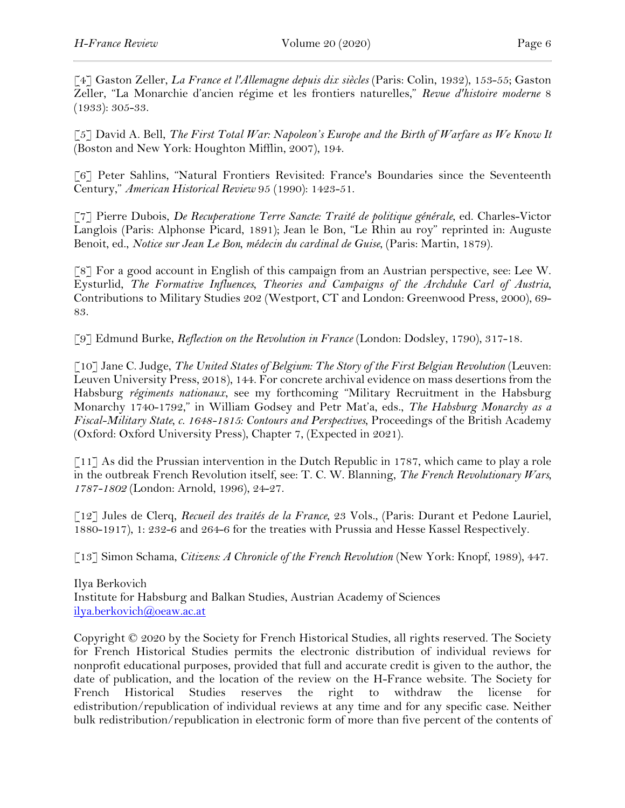[4] Gaston Zeller, *La France et l'Allemagne depuis dix siècles* (Paris: Colin, 1932), 153-55; Gaston Zeller, "La Monarchie d'ancien régime et les frontiers naturelles," *Revue d'histoire moderne* 8 (1933): 305-33.

[5] David A. Bell, *The First Total War: Napoleon's Europe and the Birth of Warfare as We Know It* (Boston and New York: Houghton Mifflin, 2007), 194.

[6] Peter Sahlins, "Natural Frontiers Revisited: France's Boundaries since the Seventeenth Century," *American Historical Review* 95 (1990): 1423-51.

[7] Pierre Dubois, *De Recuperatione Terre Sancte: Traité de politique générale*, ed. Charles-Victor Langlois (Paris: Alphonse Picard, 1891); Jean le Bon, "Le Rhin au roy" reprinted in: Auguste Benoit, ed., *Notice sur Jean Le Bon, médecin du cardinal de Guise*, (Paris: Martin, 1879).

[8] For a good account in English of this campaign from an Austrian perspective, see: Lee W. Eysturlid, *The Formative Influences, Theories and Campaigns of the Archduke Carl of Austria*, Contributions to Military Studies 202 (Westport, CT and London: Greenwood Press, 2000), 69- 83.

[9] Edmund Burke, *Reflection on the Revolution in France* (London: Dodsley, 1790), 317-18.

[10] Jane C. Judge, *The United States of Belgium: The Story of the First Belgian Revolution* (Leuven: Leuven University Press, 2018), 144. For concrete archival evidence on mass desertions from the Habsburg *régiments nationaux*, see my forthcoming "Military Recruitment in the Habsburg Monarchy 1740-1792," in William Godsey and Petr Mat'a, eds., *The Habsburg Monarchy as a Fiscal-Military State, c. 1648-1815: Contours and Perspectives*, Proceedings of the British Academy (Oxford: Oxford University Press), Chapter 7, (Expected in 2021).

[11] As did the Prussian intervention in the Dutch Republic in 1787, which came to play a role in the outbreak French Revolution itself, see: T. C. W. Blanning, *The French Revolutionary Wars, 1787-1802* (London: Arnold, 1996), 24-27.

[12] Jules de Clerq, *Recueil des traités de la France*, 23 Vols., (Paris: Durant et Pedone Lauriel, 1880-1917), 1: 232-6 and 264-6 for the treaties with Prussia and Hesse Kassel Respectively.

[13] Simon Schama, *Citizens: A Chronicle of the French Revolution* (New York: Knopf, 1989), 447.

Ilya Berkovich Institute for Habsburg and Balkan Studies, Austrian Academy of Sciences ilya.berkovich@oeaw.ac.at

Copyright © 2020 by the Society for French Historical Studies, all rights reserved. The Society for French Historical Studies permits the electronic distribution of individual reviews for nonprofit educational purposes, provided that full and accurate credit is given to the author, the date of publication, and the location of the review on the H-France website. The Society for French Historical Studies reserves the right to withdraw the license for edistribution/republication of individual reviews at any time and for any specific case. Neither bulk redistribution/republication in electronic form of more than five percent of the contents of